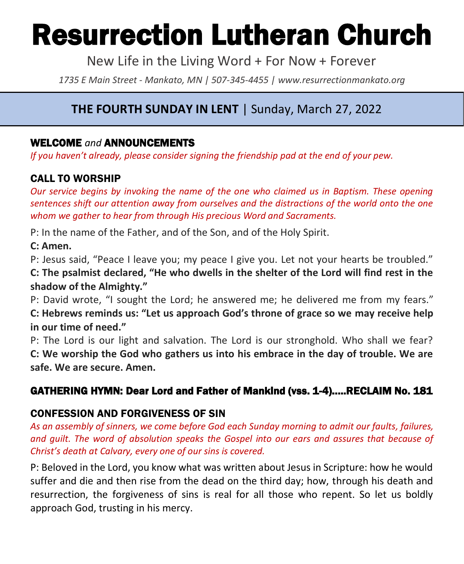# Resurrection Lutheran Church

New Life in the Living Word + For Now + Forever

*1735 E Main Street - Mankato, MN | 507-345-4455 | [www.resurrectionmankato.org](http://www.resurrectionmankato.org/)*

# **THE FOURTH SUNDAY IN LENT** | Sunday, March 27, 2022

#### WELCOME *and* ANNOUNCEMENTS

*If you haven't already, please consider signing the friendship pad at the end of your pew.* 

#### CALL TO WORSHIP

*Our service begins by invoking the name of the one who claimed us in Baptism. These opening sentences shift our attention away from ourselves and the distractions of the world onto the one whom we gather to hear from through His precious Word and Sacraments.* 

P: In the name of the Father, and of the Son, and of the Holy Spirit.

#### **C: Amen.**

P: Jesus said, "Peace I leave you; my peace I give you. Let not your hearts be troubled."

**C: The psalmist declared, "He who dwells in the shelter of the Lord will find rest in the shadow of the Almighty."**

P: David wrote, "I sought the Lord; he answered me; he delivered me from my fears." **C: Hebrews reminds us: "Let us approach God's throne of grace so we may receive help in our time of need."**

P: The Lord is our light and salvation. The Lord is our stronghold. Who shall we fear? **C: We worship the God who gathers us into his embrace in the day of trouble. We are safe. We are secure. Amen.**

# GATHERING HYMN: Dear Lord and Father of Mankind (vss. 1-4)…..RECLAIM No. 181

#### CONFESSION AND FORGIVENESS OF SIN

*As an assembly of sinners, we come before God each Sunday morning to admit our faults, failures, and guilt. The word of absolution speaks the Gospel into our ears and assures that because of Christ's death at Calvary, every one of our sins is covered.* 

P: Beloved in the Lord, you know what was written about Jesus in Scripture: how he would suffer and die and then rise from the dead on the third day; how, through his death and resurrection, the forgiveness of sins is real for all those who repent. So let us boldly approach God, trusting in his mercy.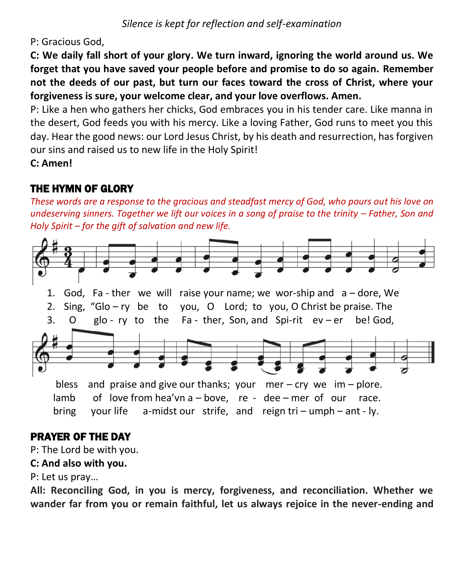P: Gracious God,

**C: We daily fall short of your glory. We turn inward, ignoring the world around us. We forget that you have saved your people before and promise to do so again. Remember not the deeds of our past, but turn our faces toward the cross of Christ, where your forgiveness is sure, your welcome clear, and your love overflows. Amen.**

P: Like a hen who gathers her chicks, God embraces you in his tender care. Like manna in the desert, God feeds you with his mercy. Like a loving Father, God runs to meet you this day. Hear the good news: our Lord Jesus Christ, by his death and resurrection, has forgiven our sins and raised us to new life in the Holy Spirit!

**C: Amen!** 

# THE HYMN OF GLORY

*These words are a response to the gracious and steadfast mercy of God, who pours out his love on undeserving sinners. Together we lift our voices in a song of praise to the trinity – Father, Son and Holy Spirit – for the gift of salvation and new life.* 



# PRAYER OF THE DAY

P: The Lord be with you.

#### **C: And also with you.**

P: Let us pray…

**All: Reconciling God, in you is mercy, forgiveness, and reconciliation. Whether we wander far from you or remain faithful, let us always rejoice in the never-ending and**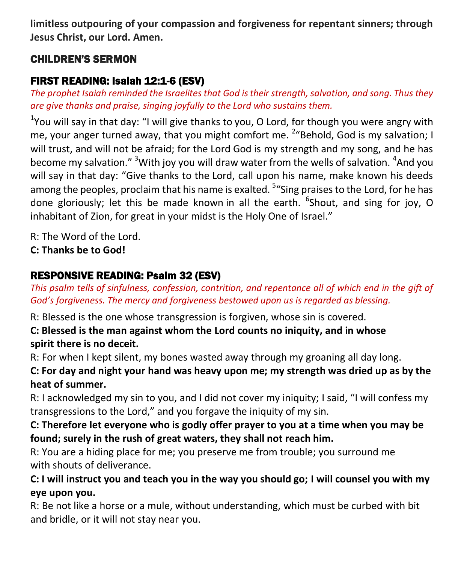**limitless outpouring of your compassion and forgiveness for repentant sinners; through Jesus Christ, our Lord. Amen.**

#### CHILDREN'S SERMON

# FIRST READING: Isaiah 12:1-6 (ESV)

*The prophet Isaiah reminded the Israelites that God is their strength, salvation, and song. Thus they are give thanks and praise, singing joyfully to the Lord who sustains them.* 

<sup>1</sup>You will say in that day: "I will give thanks to you, O Lord, for though you were angry with me, your anger turned away, that you might comfort me. <sup>2</sup> "Behold, God is my salvation; I will trust, and will not be afraid; for the Lord God is my strength and my song, and he has become my salvation." <sup>3</sup>With joy you will draw water from the wells of salvation. <sup>4</sup>And you will say in that day: "Give thanks to the Lord, call upon his name, make known his deeds among the peoples, proclaim that his name is exalted. <sup>5</sup> "Sing praises to the Lord, for he has done gloriously; let this be made known in all the earth. <sup>6</sup>Shout, and sing for joy, O inhabitant of Zion, for great in your midst is the Holy One of Israel."

R: The Word of the Lord.

**C: Thanks be to God!** 

# RESPONSIVE READING: Psalm 32 (ESV)

*This psalm tells of sinfulness, confession, contrition, and repentance all of which end in the gift of God's forgiveness. The mercy and forgiveness bestowed upon us is regarded as blessing.* 

R: Blessed is the one whose transgression is forgiven, whose sin is covered.

#### **C: Blessed is the man against whom the Lord counts no iniquity, and in whose spirit there is no deceit.**

R: For when I kept silent, my bones wasted away through my groaning all day long.

**C: For day and night your hand was heavy upon me; my strength was dried up as by the heat of summer.**

R: I acknowledged my sin to you, and I did not cover my iniquity; I said, "I will confess my transgressions to the Lord," and you forgave the iniquity of my sin.

**C: Therefore let everyone who is godly offer prayer to you at a time when you may be found; surely in the rush of great waters, they shall not reach him.**

R: You are a hiding place for me; you preserve me from trouble; you surround me with shouts of deliverance.

**C: I will instruct you and teach you in the way you should go; I will counsel you with my eye upon you.**

R: Be not like a horse or a mule, without understanding, which must be curbed with bit and bridle, or it will not stay near you.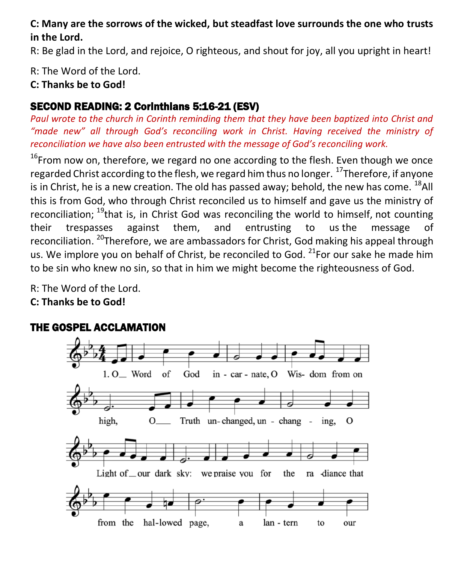#### **C: Many are the sorrows of the wicked, but steadfast love surrounds the one who trusts in the Lord.**

R: Be glad in the Lord, and rejoice, O righteous, and shout for joy, all you upright in heart!

R: The Word of the Lord.

**C: Thanks be to God!** 

# SECOND READING: 2 Corinthians 5:16-21 (ESV)

*Paul wrote to the church in Corinth reminding them that they have been baptized into Christ and "made new" all through God's reconciling work in Christ. Having received the ministry of reconciliation we have also been entrusted with the message of God's reconciling work.* 

 $16$ From now on, therefore, we regard no one according to the flesh. Even though we once regarded Christ according to the flesh, we regard him thus no longer. <sup>17</sup>Therefore, if anyone is in Christ, he is a new creation. The old has passed away; behold, the new has come.  $^{18}$ All this is from God, who through Christ reconciled us to himself and gave us the ministry of reconciliation;  $^{19}$ that is, in Christ God was reconciling the world to himself, not counting their trespasses against them, and entrusting to us the message of reconciliation. <sup>20</sup>Therefore, we are ambassadors for Christ, God making his appeal through us. We implore you on behalf of Christ, be reconciled to God.  $21$  For our sake he made him to be sin who knew no sin, so that in him we might become the righteousness of God.

R: The Word of the Lord. **C: Thanks be to God!** 



# THE GOSPEL ACCLAMATION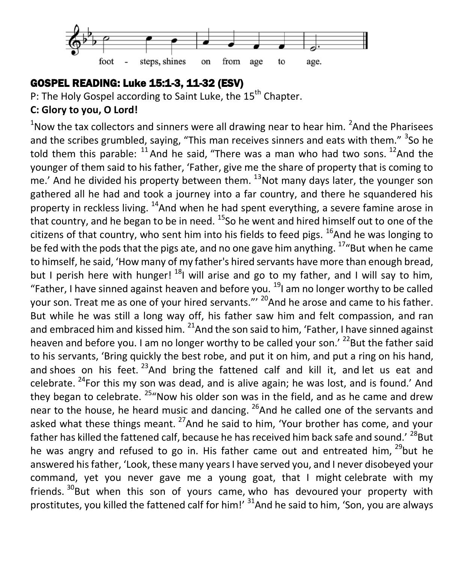

#### GOSPEL READING: Luke 15:1-3, 11-32 (ESV)

P: The Holy Gospel according to Saint Luke, the 15<sup>th</sup> Chapter.

#### **C: Glory to you, O Lord!**

 $<sup>1</sup>$ Now the tax collectors and sinners were all drawing near to hear him.  $<sup>2</sup>$ And the Pharisees</sup></sup> and the scribes grumbled, saying, "This man receives sinners and eats with them." <sup>3</sup>So he told them this parable:  $^{11}$  And he said, "There was a man who had two sons.  $^{12}$  And the younger of them said to his father, 'Father, give me the share of property that is coming to me.' And he divided his property between them.  $^{13}$ Not many days later, the younger son gathered all he had and took a journey into a far country, and there he squandered his property in reckless living.  $14$ And when he had spent everything, a severe famine arose in that country, and he began to be in need.  $^{15}$ So he went and hired himself out to one of the citizens of that country, who sent him into his fields to feed pigs.  $^{16}$ And he was longing to be fed with the pods that the pigs ate, and no one gave him anything.  $17"$ But when he came to himself, he said, 'How many of my father's hired servants have more than enough bread, but I perish here with hunger!  $^{18}$ I will arise and go to my father, and I will say to him, "Father, I have sinned against heaven and before you.  $^{19}$ I am no longer worthy to be called your son. Treat me as one of your hired servants."<sup>20</sup> And he arose and came to his father. But while he was still a long way off, his father saw him and felt compassion, and ran and embraced him and kissed him.  $^{21}$ And the son said to him, 'Father, I have sinned against heaven and before you. I am no longer worthy to be called your son.<sup>' 22</sup>But the father said to his servants, 'Bring quickly the best robe, and put it on him, and put a ring on his hand, and shoes on his feet.  $^{23}$ And bring the fattened calf and kill it, and let us eat and celebrate.  $^{24}$ For this my son was dead, and is alive again; he was lost, and is found.' And they began to celebrate.  $25^{\prime\prime}$ Now his older son was in the field, and as he came and drew near to the house, he heard music and dancing.  $^{26}$ And he called one of the servants and asked what these things meant.  $^{27}$ And he said to him, 'Your brother has come, and your father has killed the fattened calf, because he has received him back safe and sound.<sup>' 28</sup>But he was angry and refused to go in. His father came out and entreated him,  $^{29}$ but he answered his father, 'Look, these many years I have served you, and I never disobeyed your command, yet you never gave me a young goat, that I might celebrate with my friends.  $30$ But when this son of yours came, who has devoured your property with prostitutes, you killed the fattened calf for him!' <sup>31</sup>And he said to him, 'Son, you are always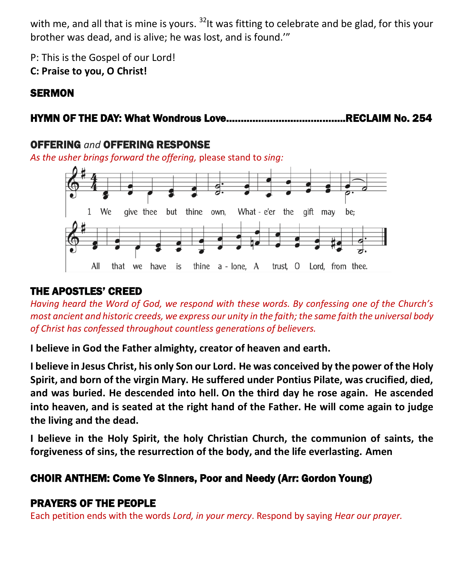with me, and all that is mine is yours.  $^{32}$  t was fitting to celebrate and be glad, for this your brother was dead, and is alive; he was lost, and is found.'"

P: This is the Gospel of our Lord!

**C: Praise to you, O Christ!** 

# **SERMON**

# HYMN OF THE DAY: What Wondrous Love…………………………………..RECLAIM No. 254

# OFFERING *and* OFFERING RESPONSE

*As the usher brings forward the offering,* please stand to *sing:*



# THE APOSTLES' CREED

*Having heard the Word of God, we respond with these words. By confessing one of the Church's most ancient and historic creeds, we express our unity in the faith; the same faith the universal body of Christ has confessed throughout countless generations of believers.* 

**I believe in God the Father almighty, creator of heaven and earth.**

**I believe in Jesus Christ, his only Son our Lord. He was conceived by the power of the Holy Spirit, and born of the virgin Mary. He suffered under Pontius Pilate, was crucified, died, and was buried. He descended into hell. On the third day he rose again. He ascended into heaven, and is seated at the right hand of the Father. He will come again to judge the living and the dead.**

**I believe in the Holy Spirit, the holy Christian Church, the communion of saints, the forgiveness of sins, the resurrection of the body, and the life everlasting. Amen**

# CHOIR ANTHEM: Come Ye Sinners, Poor and Needy (Arr: Gordon Young)

# PRAYERS OF THE PEOPLE

Each petition ends with the words *Lord, in your mercy*. Respond by saying *Hear our prayer.*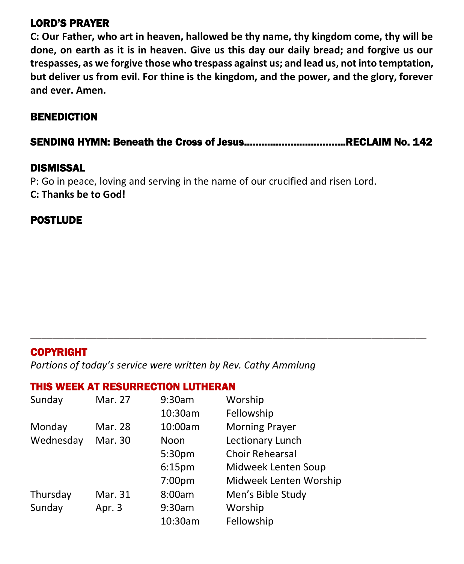#### LORD'S PRAYER

**C: Our Father, who art in heaven, hallowed be thy name, thy kingdom come, thy will be done, on earth as it is in heaven. Give us this day our daily bread; and forgive us our trespasses, as we forgive those who trespass against us; and lead us, not into temptation, but deliver us from evil. For thine is the kingdom, and the power, and the glory, forever and ever. Amen.**

#### BENEDICTION

SENDING HYMN: Beneath the Cross of Jesus……………………………..RECLAIM No. 142

\_\_\_\_\_\_\_\_\_\_\_\_\_\_\_\_\_\_\_\_\_\_\_\_\_\_\_\_\_\_\_\_\_\_\_\_\_\_\_\_\_\_\_\_\_\_\_\_\_\_\_\_\_\_\_\_\_\_\_\_\_\_\_\_\_\_\_\_\_\_\_\_

#### DISMISSAL

P: Go in peace, loving and serving in the name of our crucified and risen Lord. **C: Thanks be to God!**

#### **POSTLUDE**

#### COPYRIGHT

*Portions of today's service were written by Rev. Cathy Ammlung*

#### THIS WEEK AT RESURRECTION LUTHERAN

| Sunday    | Mar. 27 | 9:30am             | Worship                |
|-----------|---------|--------------------|------------------------|
|           |         | 10:30am            | Fellowship             |
| Monday    | Mar. 28 | 10:00am            | <b>Morning Prayer</b>  |
| Wednesday | Mar. 30 | Noon               | Lectionary Lunch       |
|           |         | 5:30pm             | Choir Rehearsal        |
|           |         | 6:15 <sub>pm</sub> | Midweek Lenten Soup    |
|           |         | 7:00pm             | Midweek Lenten Worship |
| Thursday  | Mar. 31 | 8:00am             | Men's Bible Study      |
| Sunday    | Apr. 3  | 9:30am             | Worship                |
|           |         | 10:30am            | Fellowship             |